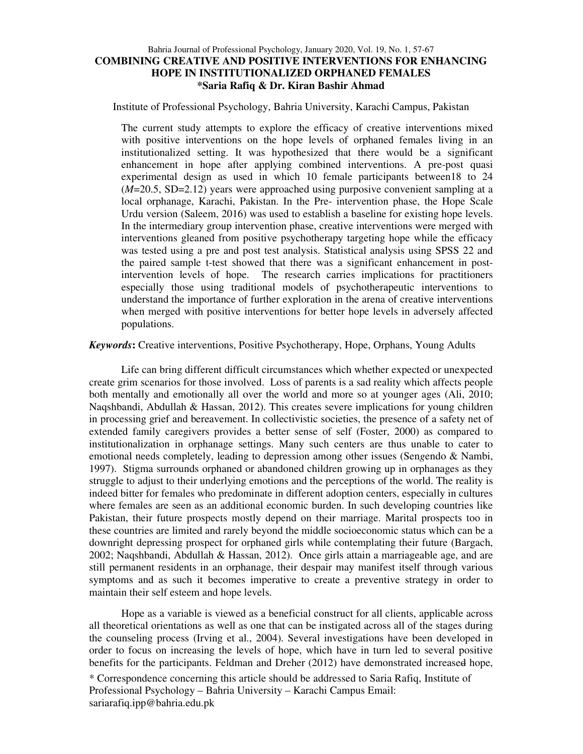# Bahria Journal of Professional Psychology, January 2020, Vol. 19, No. 1, 57-67 **COMBINING CREATIVE AND POSITIVE INTERVENTIONS FOR ENHANCING HOPE IN INSTITUTIONALIZED ORPHANED FEMALES \*Saria Rafiq & Dr. Kiran Bashir Ahmad**

Institute of Professional Psychology, Bahria University, Karachi Campus, Pakistan

The current study attempts to explore the efficacy of creative interventions mixed with positive interventions on the hope levels of orphaned females living in an institutionalized setting. It was hypothesized that there would be a significant enhancement in hope after applying combined interventions. A pre-post quasi experimental design as used in which 10 female participants between18 to 24 (*M*=20.5, SD=2.12) years were approached using purposive convenient sampling at a local orphanage, Karachi, Pakistan. In the Pre- intervention phase, the Hope Scale Urdu version (Saleem, 2016) was used to establish a baseline for existing hope levels. In the intermediary group intervention phase, creative interventions were merged with interventions gleaned from positive psychotherapy targeting hope while the efficacy was tested using a pre and post test analysis. Statistical analysis using SPSS 22 and the paired sample t-test showed that there was a significant enhancement in postintervention levels of hope. The research carries implications for practitioners especially those using traditional models of psychotherapeutic interventions to understand the importance of further exploration in the arena of creative interventions when merged with positive interventions for better hope levels in adversely affected populations.

*Keywords***:** Creative interventions, Positive Psychotherapy, Hope, Orphans, Young Adults

Life can bring different difficult circumstances which whether expected or unexpected create grim scenarios for those involved. Loss of parents is a sad reality which affects people both mentally and emotionally all over the world and more so at younger ages (Ali, 2010; Naqshbandi, Abdullah & Hassan, 2012). This creates severe implications for young children in processing grief and bereavement. In collectivistic societies, the presence of a safety net of extended family caregivers provides a better sense of self (Foster, 2000) as compared to institutionalization in orphanage settings. Many such centers are thus unable to cater to emotional needs completely, leading to depression among other issues (Sen*g*endo & Nambi, 1997). Stigma surrounds orphaned or abandoned children growing up in orphanages as they struggle to adjust to their underlying emotions and the perceptions of the world. The reality is indeed bitter for females who predominate in different adoption centers, especially in cultures where females are seen as an additional economic burden. In such developing countries like Pakistan, their future prospects mostly depend on their marriage. Marital prospects too in these countries are limited and rarely beyond the middle socioeconomic status which can be a downright depressing prospect for orphaned girls while contemplating their future (Bargach, 2002; Naqshbandi, Abdullah & Hassan, 2012). Once girls attain a marriageable age, and are still permanent residents in an orphanage, their despair may manifest itself through various symptoms and as such it becomes imperative to create a preventive strategy in order to maintain their self esteem and hope levels.

Hope as a variable is viewed as a beneficial construct for all clients, applicable across all theoretical orientations as well as one that can be instigated across all of the stages during the counseling process (Irving et al., 2004). Several investigations have been developed in order to focus on increasing the levels of hope, which have in turn led to several positive benefits for the participants. Feldman and Dreher (2012) have demonstrated increased hope,

<sup>\*</sup> Correspondence concerning this article should be addressed to Saria Rafiq, Institute of Professional Psychology – Bahria University – Karachi Campus Email: sariarafiq.ipp@bahria.edu.pk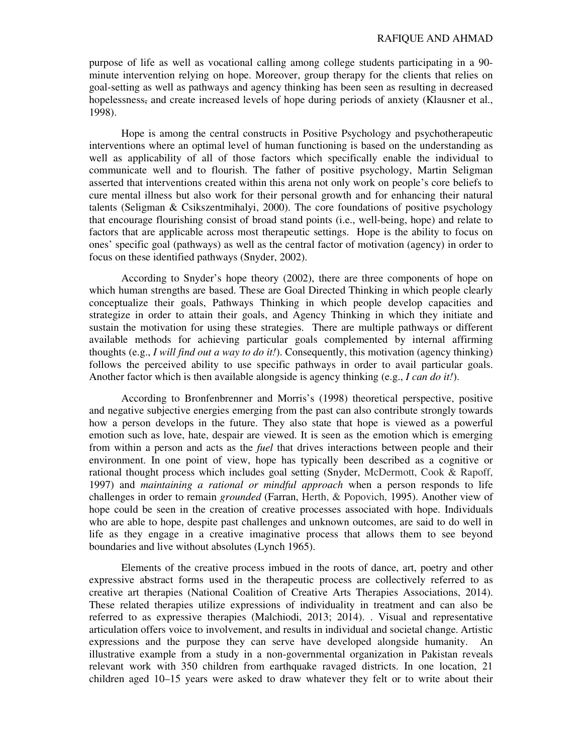purpose of life as well as vocational calling among college students participating in a 90 minute intervention relying on hope. Moreover, group therapy for the clients that relies on goal-setting as well as pathways and agency thinking has been seen as resulting in decreased hopelessness, and create increased levels of hope during periods of anxiety (Klausner et al., 1998).

Hope is among the central constructs in Positive Psychology and psychotherapeutic interventions where an optimal level of human functioning is based on the understanding as well as applicability of all of those factors which specifically enable the individual to communicate well and to flourish. The father of positive psychology, Martin Seligman asserted that interventions created within this arena not only work on people's core beliefs to cure mental illness but also work for their personal growth and for enhancing their natural talents (Seligman & Csikszentmihalyi, 2000). The core foundations of positive psychology that encourage flourishing consist of broad stand points (i.e., well-being, hope) and relate to factors that are applicable across most therapeutic settings. Hope is the ability to focus on ones' specific goal (pathways) as well as the central factor of motivation (agency) in order to focus on these identified pathways (Snyder, 2002).

According to Snyder's hope theory (2002), there are three components of hope on which human strengths are based. These are Goal Directed Thinking in which people clearly conceptualize their goals, Pathways Thinking in which people develop capacities and strategize in order to attain their goals, and Agency Thinking in which they initiate and sustain the motivation for using these strategies. There are multiple pathways or different available methods for achieving particular goals complemented by internal affirming thoughts (e.g., *I will find out a way to do it!*). Consequently, this motivation (agency thinking) follows the perceived ability to use specific pathways in order to avail particular goals. Another factor which is then available alongside is agency thinking (e.g., *I can do it!*).

According to Bronfenbrenner and Morris's (1998) theoretical perspective, positive and negative subjective energies emerging from the past can also contribute strongly towards how a person develops in the future. They also state that hope is viewed as a powerful emotion such as love, hate, despair are viewed. It is seen as the emotion which is emerging from within a person and acts as the *fuel* that drives interactions between people and their environment. In one point of view, hope has typically been described as a cognitive or rational thought process which includes goal setting (Snyder, McDermott, Cook & Rapoff, 1997) and *maintaining a rational or mindful approach* when a person responds to life challenges in order to remain *grounded* (Farran, Herth, & Popovich, 1995). Another view of hope could be seen in the creation of creative processes associated with hope. Individuals who are able to hope, despite past challenges and unknown outcomes, are said to do well in life as they engage in a creative imaginative process that allows them to see beyond boundaries and live without absolutes (Lynch 1965).

Elements of the creative process imbued in the roots of dance, art, poetry and other expressive abstract forms used in the therapeutic process are collectively referred to as creative art therapies (National Coalition of Creative Arts Therapies Associations, 2014). These related therapies utilize expressions of individuality in treatment and can also be referred to as expressive therapies (Malchiodi, 2013; 2014). . Visual and representative articulation offers voice to involvement, and results in individual and societal change. Artistic expressions and the purpose they can serve have developed alongside humanity. An illustrative example from a study in a non-governmental organization in Pakistan reveals relevant work with 350 children from earthquake ravaged districts. In one location, 21 children aged 10–15 years were asked to draw whatever they felt or to write about their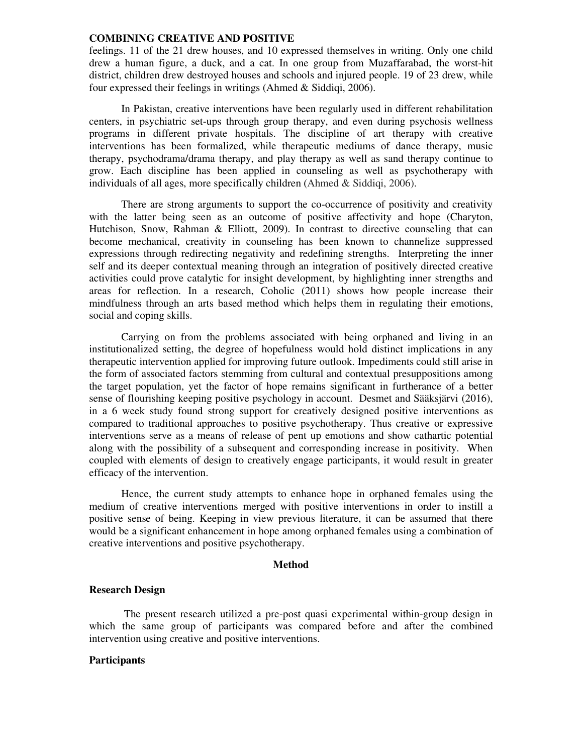feelings. 11 of the 21 drew houses, and 10 expressed themselves in writing. Only one child drew a human figure, a duck, and a cat. In one group from Muzaffarabad, the worst-hit district, children drew destroyed houses and schools and injured people. 19 of 23 drew, while four expressed their feelings in writings (Ahmed & Siddiqi, 2006).

In Pakistan, creative interventions have been regularly used in different rehabilitation centers, in psychiatric set-ups through group therapy, and even during psychosis wellness programs in different private hospitals. The discipline of art therapy with creative interventions has been formalized, while therapeutic mediums of dance therapy, music therapy, psychodrama/drama therapy, and play therapy as well as sand therapy continue to grow. Each discipline has been applied in counseling as well as psychotherapy with individuals of all ages, more specifically children (Ahmed & Siddiqi, 2006).

There are strong arguments to support the co-occurrence of positivity and creativity with the latter being seen as an outcome of positive affectivity and hope (Charyton, Hutchison, Snow, Rahman & Elliott, 2009). In contrast to directive counseling that can become mechanical, creativity in counseling has been known to channelize suppressed expressions through redirecting negativity and redefining strengths. Interpreting the inner self and its deeper contextual meaning through an integration of positively directed creative activities could prove catalytic for insight development, by highlighting inner strengths and areas for reflection. In a research, Coholic (2011) shows how people increase their mindfulness through an arts based method which helps them in regulating their emotions, social and coping skills.

Carrying on from the problems associated with being orphaned and living in an institutionalized setting, the degree of hopefulness would hold distinct implications in any therapeutic intervention applied for improving future outlook. Impediments could still arise in the form of associated factors stemming from cultural and contextual presuppositions among the target population, yet the factor of hope remains significant in furtherance of a better sense of flourishing keeping positive psychology in account. Desmet and Sääksjärvi (2016), in a 6 week study found strong support for creatively designed positive interventions as compared to traditional approaches to positive psychotherapy. Thus creative or expressive interventions serve as a means of release of pent up emotions and show cathartic potential along with the possibility of a subsequent and corresponding increase in positivity. When coupled with elements of design to creatively engage participants, it would result in greater efficacy of the intervention.

Hence, the current study attempts to enhance hope in orphaned females using the medium of creative interventions merged with positive interventions in order to instill a positive sense of being. Keeping in view previous literature, it can be assumed that there would be a significant enhancement in hope among orphaned females using a combination of creative interventions and positive psychotherapy.

# **Method**

#### **Research Design**

 The present research utilized a pre-post quasi experimental within-group design in which the same group of participants was compared before and after the combined intervention using creative and positive interventions.

#### **Participants**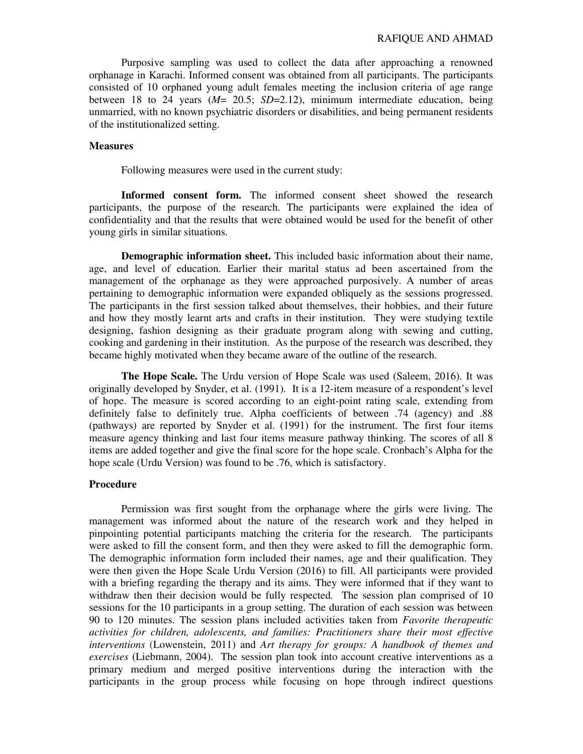Purposive sampling was used to collect the data after approaching a renowned orphanage in Karachi. Informed consent was obtained from all participants. The participants consisted of 10 orphaned young adult females meeting the inclusion criteria of age range between 18 to 24 years (*M*= 20.5; *SD*=2.12), minimum intermediate education, being unmarried, with no known psychiatric disorders or disabilities, and being permanent residents of the institutionalized setting.

#### **Measures**

Following measures were used in the current study:

**Informed consent form.** The informed consent sheet showed the research participants, the purpose of the research. The participants were explained the idea of confidentiality and that the results that were obtained would be used for the benefit of other young girls in similar situations.

**Demographic information sheet.** This included basic information about their name, age, and level of education. Earlier their marital status ad been ascertained from the management of the orphanage as they were approached purposively. A number of areas pertaining to demographic information were expanded obliquely as the sessions progressed. The participants in the first session talked about themselves, their hobbies, and their future and how they mostly learnt arts and crafts in their institution. They were studying textile designing, fashion designing as their graduate program along with sewing and cutting, cooking and gardening in their institution. As the purpose of the research was described, they became highly motivated when they became aware of the outline of the research.

**The Hope Scale.** The Urdu version of Hope Scale was used (Saleem, 2016). It was originally developed by Snyder, et al. (1991). It is a 12-item measure of a respondent's level of hope. The measure is scored according to an eight-point rating scale, extending from definitely false to definitely true. Alpha coefficients of between .74 (agency) and .88 (pathways) are reported by Snyder et al. (1991) for the instrument. The first four items measure agency thinking and last four items measure pathway thinking. The scores of all 8 items are added together and give the final score for the hope scale. Cronbach's Alpha for the hope scale (Urdu Version) was found to be .76, which is satisfactory.

## **Procedure**

Permission was first sought from the orphanage where the girls were living. The management was informed about the nature of the research work and they helped in pinpointing potential participants matching the criteria for the research. The participants were asked to fill the consent form, and then they were asked to fill the demographic form. The demographic information form included their names, age and their qualification. They were then given the Hope Scale Urdu Version (2016) to fill. All participants were provided with a briefing regarding the therapy and its aims. They were informed that if they want to withdraw then their decision would be fully respected. The session plan comprised of 10 sessions for the 10 participants in a group setting. The duration of each session was between 90 to 120 minutes. The session plans included activities taken from *Favorite therapeutic activities for children, adolescents, and families: Practitioners share their most effective interventions* (Lowenstein, 2011) and *Art therapy for groups: A handbook of themes and exercises* (Liebmann, 2004). The session plan took into account creative interventions as a primary medium and merged positive interventions during the interaction with the participants in the group process while focusing on hope through indirect questions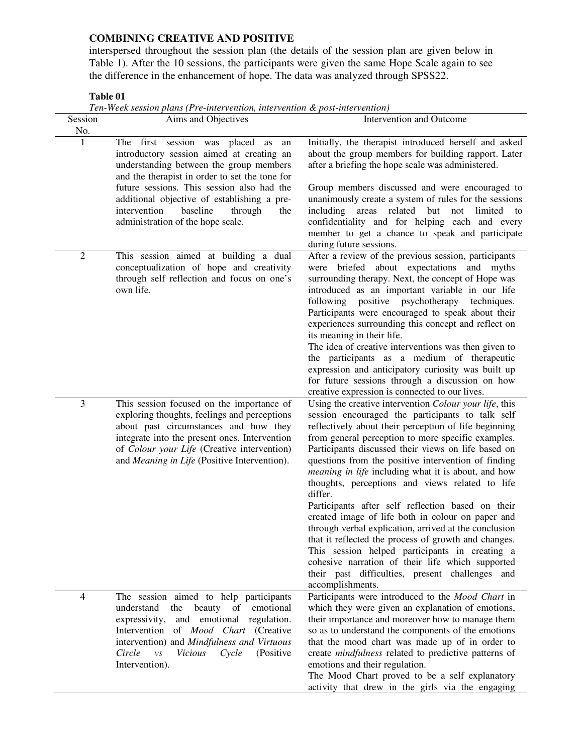interspersed throughout the session plan (the details of the session plan are given below in Table 1). After the 10 sessions, the participants were given the same Hope Scale again to see the difference in the enhancement of hope. The data was analyzed through SPSS22.

# **Table 01**

*Ten-Week session plans (Pre-intervention, intervention & post-intervention)* 

| Session<br>No. | Aims and Objectives                                                                                                                                                                                                                                                                                                                                                | Intervention and Outcome                                                                                                                                                                                                                                                                                                                                                                                                                                                                                                                                                                                                                                                                                                                                                                                                                                                    |
|----------------|--------------------------------------------------------------------------------------------------------------------------------------------------------------------------------------------------------------------------------------------------------------------------------------------------------------------------------------------------------------------|-----------------------------------------------------------------------------------------------------------------------------------------------------------------------------------------------------------------------------------------------------------------------------------------------------------------------------------------------------------------------------------------------------------------------------------------------------------------------------------------------------------------------------------------------------------------------------------------------------------------------------------------------------------------------------------------------------------------------------------------------------------------------------------------------------------------------------------------------------------------------------|
| $\mathbf{1}$   | The first<br>session was placed as<br>an<br>introductory session aimed at creating an<br>understanding between the group members<br>and the therapist in order to set the tone for<br>future sessions. This session also had the<br>additional objective of establishing a pre-<br>intervention<br>baseline<br>through<br>the<br>administration of the hope scale. | Initially, the therapist introduced herself and asked<br>about the group members for building rapport. Later<br>after a briefing the hope scale was administered.<br>Group members discussed and were encouraged to<br>unanimously create a system of rules for the sessions<br>including areas related but<br>not<br>limited<br>to<br>confidentiality and for helping each and every<br>member to get a chance to speak and participate<br>during future sessions.                                                                                                                                                                                                                                                                                                                                                                                                         |
| $\mathfrak{2}$ | This session aimed at building a dual<br>conceptualization of hope and creativity<br>through self reflection and focus on one's<br>own life.                                                                                                                                                                                                                       | After a review of the previous session, participants<br>were briefed about expectations and myths<br>surrounding therapy. Next, the concept of Hope was<br>introduced as an important variable in our life<br>following<br>positive psychotherapy<br>techniques.<br>Participants were encouraged to speak about their<br>experiences surrounding this concept and reflect on<br>its meaning in their life.<br>The idea of creative interventions was then given to<br>the participants as a medium of the rapeutic<br>expression and anticipatory curiosity was built up<br>for future sessions through a discussion on how<br>creative expression is connected to our lives.                                                                                                                                                                                               |
| 3              | This session focused on the importance of<br>exploring thoughts, feelings and perceptions<br>about past circumstances and how they<br>integrate into the present ones. Intervention<br>of Colour your Life (Creative intervention)<br>and Meaning in Life (Positive Intervention).                                                                                 | Using the creative intervention Colour your life, this<br>session encouraged the participants to talk self<br>reflectively about their perception of life beginning<br>from general perception to more specific examples.<br>Participants discussed their views on life based on<br>questions from the positive intervention of finding<br><i>meaning in life</i> including what it is about, and how<br>thoughts, perceptions and views related to life<br>differ.<br>Participants after self reflection based on their<br>created image of life both in colour on paper and<br>through verbal explication, arrived at the conclusion<br>that it reflected the process of growth and changes.<br>This session helped participants in creating a<br>cohesive narration of their life which supported<br>their past difficulties, present challenges and<br>accomplishments. |
| $\overline{4}$ | The session aimed to help participants<br>understand<br>the<br>beauty of<br>emotional<br>and emotional regulation.<br>expressivity,<br>Intervention of <i>Mood Chart</i> (Creative<br>intervention) and Mindfulness and Virtuous<br>Circle<br>Cycle<br>(Positive)<br>$\mathcal{V}\mathcal{S}$<br><i>Vicious</i><br>Intervention).                                  | Participants were introduced to the Mood Chart in<br>which they were given an explanation of emotions,<br>their importance and moreover how to manage them<br>so as to understand the components of the emotions<br>that the mood chart was made up of in order to<br>create mindfulness related to predictive patterns of<br>emotions and their regulation.<br>The Mood Chart proved to be a self explanatory<br>activity that drew in the girls via the engaging                                                                                                                                                                                                                                                                                                                                                                                                          |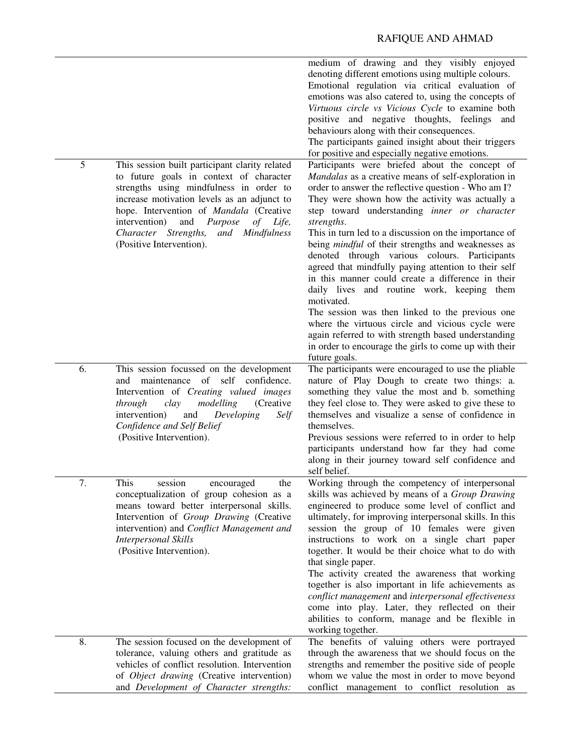|    |                                                                                                                                                                                                                                                                                                                                                             | medium of drawing and they visibly enjoyed<br>denoting different emotions using multiple colours.<br>Emotional regulation via critical evaluation of<br>emotions was also catered to, using the concepts of<br>Virtuous circle vs Vicious Cycle to examine both<br>positive and negative thoughts, feelings and<br>behaviours along with their consequences.<br>The participants gained insight about their triggers<br>for positive and especially negative emotions.                                                                                                                                                                                                                                                                                                                                                                                         |
|----|-------------------------------------------------------------------------------------------------------------------------------------------------------------------------------------------------------------------------------------------------------------------------------------------------------------------------------------------------------------|----------------------------------------------------------------------------------------------------------------------------------------------------------------------------------------------------------------------------------------------------------------------------------------------------------------------------------------------------------------------------------------------------------------------------------------------------------------------------------------------------------------------------------------------------------------------------------------------------------------------------------------------------------------------------------------------------------------------------------------------------------------------------------------------------------------------------------------------------------------|
| 5  | This session built participant clarity related<br>to future goals in context of character<br>strengths using mindfulness in order to<br>increase motivation levels as an adjunct to<br>hope. Intervention of <i>Mandala</i> (Creative<br>intervention)<br>and<br>Purpose<br>of Life,<br>Character Strengths,<br>and Mindfulness<br>(Positive Intervention). | Participants were briefed about the concept of<br>Mandalas as a creative means of self-exploration in<br>order to answer the reflective question - Who am I?<br>They were shown how the activity was actually a<br>step toward understanding inner or character<br>strengths.<br>This in turn led to a discussion on the importance of<br>being mindful of their strengths and weaknesses as<br>denoted through various colours. Participants<br>agreed that mindfully paying attention to their self<br>in this manner could create a difference in their<br>daily lives and routine work, keeping them<br>motivated.<br>The session was then linked to the previous one<br>where the virtuous circle and vicious cycle were<br>again referred to with strength based understanding<br>in order to encourage the girls to come up with their<br>future goals. |
| 6. | This session focussed on the development<br>and maintenance of self confidence.<br>Intervention of Creating valued images<br>clay<br>modelling<br>(Creative)<br>through<br>Developing<br>intervention)<br>and<br>Self<br>Confidence and Self Belief<br>(Positive Intervention).                                                                             | The participants were encouraged to use the pliable<br>nature of Play Dough to create two things: a.<br>something they value the most and b. something<br>they feel close to. They were asked to give these to<br>themselves and visualize a sense of confidence in<br>themselves.<br>Previous sessions were referred to in order to help<br>participants understand how far they had come<br>along in their journey toward self confidence and<br>self belief.                                                                                                                                                                                                                                                                                                                                                                                                |
| 7. | This session<br>encouraged<br>the<br>conceptualization of group cohesion as a<br>means toward better interpersonal skills.<br>Intervention of Group Drawing (Creative<br>intervention) and Conflict Management and<br><b>Interpersonal Skills</b><br>(Positive Intervention).                                                                               | Working through the competency of interpersonal<br>skills was achieved by means of a Group Drawing<br>engineered to produce some level of conflict and<br>ultimately, for improving interpersonal skills. In this<br>session the group of 10 females were given<br>instructions to work on a single chart paper<br>together. It would be their choice what to do with<br>that single paper.<br>The activity created the awareness that working<br>together is also important in life achievements as<br>conflict management and interpersonal effectiveness<br>come into play. Later, they reflected on their<br>abilities to conform, manage and be flexible in<br>working together.                                                                                                                                                                          |
| 8. | The session focused on the development of<br>tolerance, valuing others and gratitude as<br>vehicles of conflict resolution. Intervention<br>of Object drawing (Creative intervention)<br>and Development of Character strengths:                                                                                                                            | The benefits of valuing others were portrayed<br>through the awareness that we should focus on the<br>strengths and remember the positive side of people<br>whom we value the most in order to move beyond<br>conflict management to conflict resolution as                                                                                                                                                                                                                                                                                                                                                                                                                                                                                                                                                                                                    |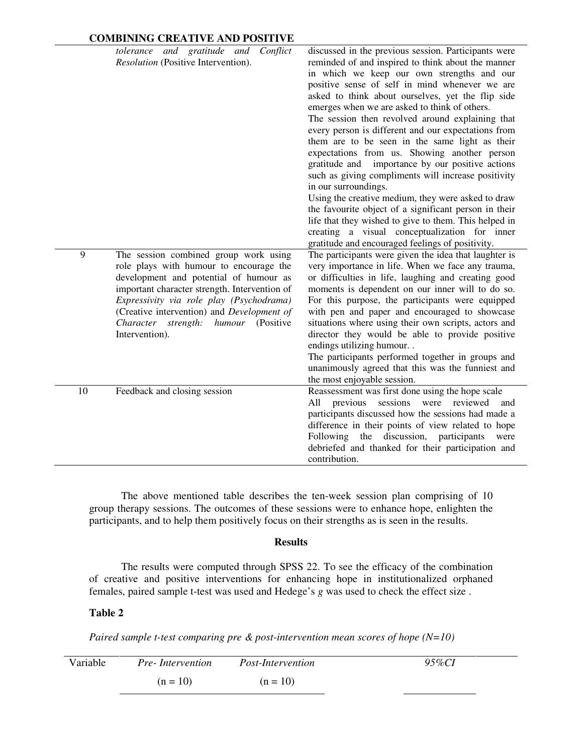|    | Conflict<br>tolerance and gratitude and<br>Resolution (Positive Intervention).                                                                                                                                                                                                                                                     | discussed in the previous session. Participants were<br>reminded of and inspired to think about the manner<br>in which we keep our own strengths and our<br>positive sense of self in mind whenever we are<br>asked to think about ourselves, yet the flip side<br>emerges when we are asked to think of others.<br>The session then revolved around explaining that<br>every person is different and our expectations from<br>them are to be seen in the same light as their<br>expectations from us. Showing another person<br>gratitude and importance by our positive actions<br>such as giving compliments will increase positivity<br>in our surroundings.<br>Using the creative medium, they were asked to draw<br>the favourite object of a significant person in their<br>life that they wished to give to them. This helped in<br>creating a visual conceptualization for inner<br>gratitude and encouraged feelings of positivity. |
|----|------------------------------------------------------------------------------------------------------------------------------------------------------------------------------------------------------------------------------------------------------------------------------------------------------------------------------------|-----------------------------------------------------------------------------------------------------------------------------------------------------------------------------------------------------------------------------------------------------------------------------------------------------------------------------------------------------------------------------------------------------------------------------------------------------------------------------------------------------------------------------------------------------------------------------------------------------------------------------------------------------------------------------------------------------------------------------------------------------------------------------------------------------------------------------------------------------------------------------------------------------------------------------------------------|
| 9  | The session combined group work using<br>role plays with humour to encourage the<br>development and potential of humour as<br>important character strength. Intervention of<br>Expressivity via role play (Psychodrama)<br>(Creative intervention) and Development of<br>humour (Positive<br>Character strength:<br>Intervention). | The participants were given the idea that laughter is<br>very importance in life. When we face any trauma,<br>or difficulties in life, laughing and creating good<br>moments is dependent on our inner will to do so.<br>For this purpose, the participants were equipped<br>with pen and paper and encouraged to showcase<br>situations where using their own scripts, actors and<br>director they would be able to provide positive<br>endings utilizing humour<br>The participants performed together in groups and<br>unanimously agreed that this was the funniest and<br>the most enjoyable session.                                                                                                                                                                                                                                                                                                                                    |
| 10 | Feedback and closing session                                                                                                                                                                                                                                                                                                       | Reassessment was first done using the hope scale<br>sessions<br>were<br>reviewed<br>All<br>previous<br>and<br>participants discussed how the sessions had made a<br>difference in their points of view related to hope<br>the discussion, participants<br>Following<br>were<br>debriefed and thanked for their participation and<br>contribution.                                                                                                                                                                                                                                                                                                                                                                                                                                                                                                                                                                                             |

The above mentioned table describes the ten-week session plan comprising of 10 group therapy sessions. The outcomes of these sessions were to enhance hope, enlighten the participants, and to help them positively focus on their strengths as is seen in the results.

### **Results**

The results were computed through SPSS 22. To see the efficacy of the combination of creative and positive interventions for enhancing hope in institutionalized orphaned females, paired sample t-test was used and Hedege's *g* was used to check the effect size .

# **Table 2**

*Paired sample t-test comparing pre & post-intervention mean scores of hope (N=10)* 

| Variable | <i>Pre-Intervention</i> | <i>Post-Intervention</i> | 95%CI |  |  |
|----------|-------------------------|--------------------------|-------|--|--|
|          | $(n = 10)$              | $(n = 10)$               |       |  |  |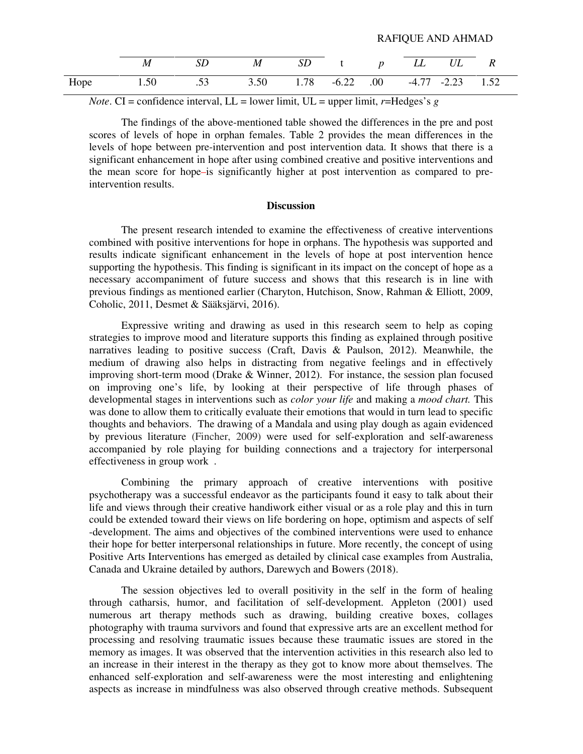|      | M                                                               | SD | M |  | SD t p LL UL R |  |  |
|------|-----------------------------------------------------------------|----|---|--|----------------|--|--|
| Hope | $1.50$ $.53$ $3.50$ $1.78$ $-6.22$ $.00$ $-4.77$ $-2.23$ $1.52$ |    |   |  |                |  |  |

RAFIQUE AND AHMAD

*Note*. CI = confidence interval, LL = lower limit, UL = upper limit,  $r=Heeges's g$ 

The findings of the above-mentioned table showed the differences in the pre and post scores of levels of hope in orphan females. Table 2 provides the mean differences in the levels of hope between pre-intervention and post intervention data. It shows that there is a significant enhancement in hope after using combined creative and positive interventions and the mean score for hope-is significantly higher at post intervention as compared to preintervention results.

### **Discussion**

The present research intended to examine the effectiveness of creative interventions combined with positive interventions for hope in orphans. The hypothesis was supported and results indicate significant enhancement in the levels of hope at post intervention hence supporting the hypothesis. This finding is significant in its impact on the concept of hope as a necessary accompaniment of future success and shows that this research is in line with previous findings as mentioned earlier (Charyton, Hutchison, Snow, Rahman & Elliott, 2009, Coholic, 2011, Desmet & Sääksjärvi, 2016).

Expressive writing and drawing as used in this research seem to help as coping strategies to improve mood and literature supports this finding as explained through positive narratives leading to positive success (Craft, Davis & Paulson, 2012). Meanwhile, the medium of drawing also helps in distracting from negative feelings and in effectively improving short-term mood (Drake & Winner, 2012). For instance, the session plan focused on improving one's life, by looking at their perspective of life through phases of developmental stages in interventions such as *color your life* and making a *mood chart.* This was done to allow them to critically evaluate their emotions that would in turn lead to specific thoughts and behaviors. The drawing of a Mandala and using play dough as again evidenced by previous literature (Fincher, 2009) were used for self-exploration and self-awareness accompanied by role playing for building connections and a trajectory for interpersonal effectiveness in group work .

Combining the primary approach of creative interventions with positive psychotherapy was a successful endeavor as the participants found it easy to talk about their life and views through their creative handiwork either visual or as a role play and this in turn could be extended toward their views on life bordering on hope, optimism and aspects of self -development. The aims and objectives of the combined interventions were used to enhance their hope for better interpersonal relationships in future. More recently, the concept of using Positive Arts Interventions has emerged as detailed by clinical case examples from Australia, Canada and Ukraine detailed by authors, Darewych and Bowers (2018).

The session objectives led to overall positivity in the self in the form of healing through catharsis, humor, and facilitation of self-development. Appleton (2001) used numerous art therapy methods such as drawing, building creative boxes, collages photography with trauma survivors and found that expressive arts are an excellent method for processing and resolving traumatic issues because these traumatic issues are stored in the memory as images. It was observed that the intervention activities in this research also led to an increase in their interest in the therapy as they got to know more about themselves. The enhanced self-exploration and self-awareness were the most interesting and enlightening aspects as increase in mindfulness was also observed through creative methods. Subsequent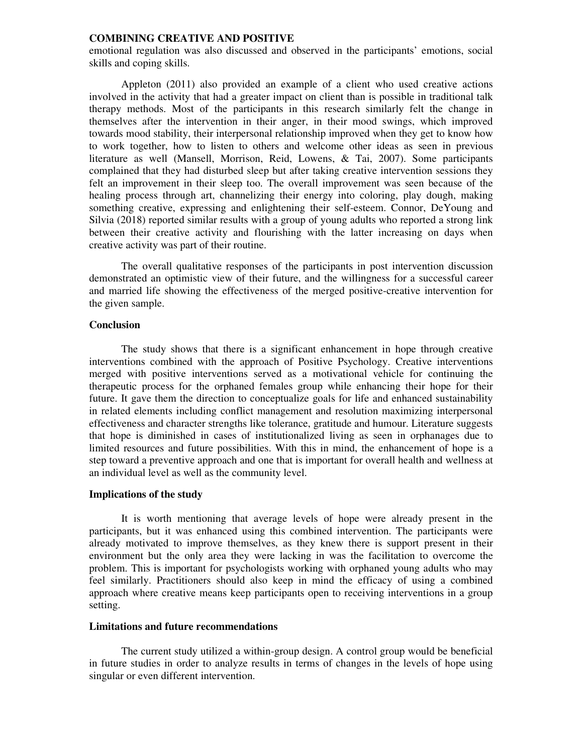emotional regulation was also discussed and observed in the participants' emotions, social skills and coping skills.

Appleton (2011) also provided an example of a client who used creative actions involved in the activity that had a greater impact on client than is possible in traditional talk therapy methods. Most of the participants in this research similarly felt the change in themselves after the intervention in their anger, in their mood swings, which improved towards mood stability, their interpersonal relationship improved when they get to know how to work together, how to listen to others and welcome other ideas as seen in previous literature as well (Mansell, Morrison, Reid, Lowens, & Tai, 2007). Some participants complained that they had disturbed sleep but after taking creative intervention sessions they felt an improvement in their sleep too. The overall improvement was seen because of the healing process through art, channelizing their energy into coloring, play dough, making something creative, expressing and enlightening their self-esteem. Connor, DeYoung and Silvia (2018) reported similar results with a group of young adults who reported a strong link between their creative activity and flourishing with the latter increasing on days when creative activity was part of their routine.

The overall qualitative responses of the participants in post intervention discussion demonstrated an optimistic view of their future, and the willingness for a successful career and married life showing the effectiveness of the merged positive-creative intervention for the given sample.

# **Conclusion**

The study shows that there is a significant enhancement in hope through creative interventions combined with the approach of Positive Psychology. Creative interventions merged with positive interventions served as a motivational vehicle for continuing the therapeutic process for the orphaned females group while enhancing their hope for their future. It gave them the direction to conceptualize goals for life and enhanced sustainability in related elements including conflict management and resolution maximizing interpersonal effectiveness and character strengths like tolerance, gratitude and humour. Literature suggests that hope is diminished in cases of institutionalized living as seen in orphanages due to limited resources and future possibilities. With this in mind, the enhancement of hope is a step toward a preventive approach and one that is important for overall health and wellness at an individual level as well as the community level.

#### **Implications of the study**

It is worth mentioning that average levels of hope were already present in the participants, but it was enhanced using this combined intervention. The participants were already motivated to improve themselves, as they knew there is support present in their environment but the only area they were lacking in was the facilitation to overcome the problem. This is important for psychologists working with orphaned young adults who may feel similarly. Practitioners should also keep in mind the efficacy of using a combined approach where creative means keep participants open to receiving interventions in a group setting.

## **Limitations and future recommendations**

The current study utilized a within-group design. A control group would be beneficial in future studies in order to analyze results in terms of changes in the levels of hope using singular or even different intervention.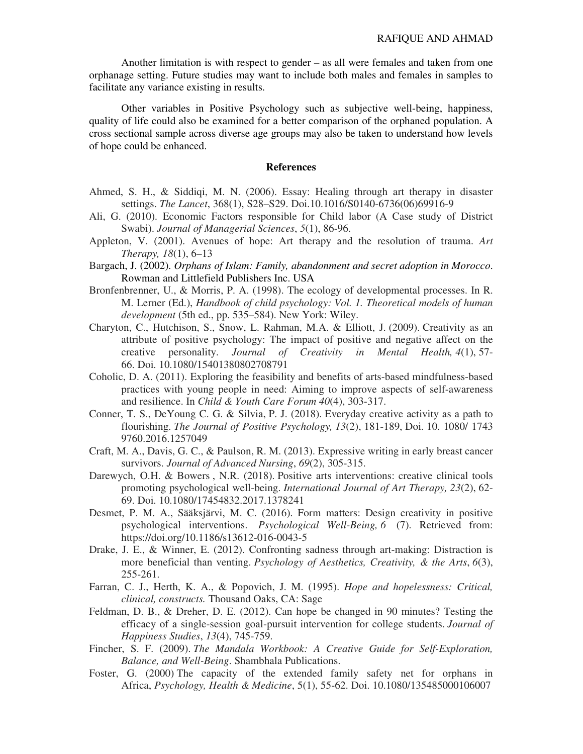Another limitation is with respect to gender – as all were females and taken from one orphanage setting. Future studies may want to include both males and females in samples to facilitate any variance existing in results.

Other variables in Positive Psychology such as subjective well-being, happiness, quality of life could also be examined for a better comparison of the orphaned population. A cross sectional sample across diverse age groups may also be taken to understand how levels of hope could be enhanced.

# **References**

- Ahmed, S. H., & Siddiqi, M. N. (2006). Essay: Healing through art therapy in disaster settings. *The Lancet*, 368(1), S28–S29. Doi.10.1016/S0140-6736(06)69916-9
- Ali, G. (2010). Economic Factors responsible for Child labor (A Case study of District Swabi). *Journal of Managerial Sciences*, *5*(1), 86-96.
- Appleton, V. (2001). Avenues of hope: Art therapy and the resolution of trauma. *Art Therapy, 18*(1), 6–13
- Bargach, J. (2002). *Orphans of Islam: Family, abandonment and secret adoption in Morocco*. Rowman and Littlefield Publishers Inc. USA
- Bronfenbrenner, U., & Morris, P. A. (1998). The ecology of developmental processes. In R. M. Lerner (Ed.), *Handbook of child psychology: Vol. 1. Theoretical models of human development* (5th ed., pp. 535–584). New York: Wiley.
- Charyton, C., Hutchison, S., Snow, L. Rahman, M.A. & Elliott, J. (2009). Creativity as an attribute of positive psychology: The impact of positive and negative affect on the creative personality. *Journal of Creativity in Mental Health, 4*(1), 57- 66. Doi. 10.1080/15401380802708791
- Coholic, D. A. (2011). Exploring the feasibility and benefits of arts-based mindfulness-based practices with young people in need: Aiming to improve aspects of self-awareness and resilience. In *Child & Youth Care Forum 40*(4), 303-317.
- Conner, T. S., DeYoung C. G. & Silvia, P. J. (2018). Everyday creative activity as a path to flourishing. *The Journal of Positive Psychology, 13*(2), 181-189, Doi. 10. 1080/ 1743 9760.2016.1257049
- Craft, M. A., Davis, G. C., & Paulson, R. M. (2013). Expressive writing in early breast cancer survivors. *Journal of Advanced Nursing*, *69*(2), 305-315.
- Darewych, O.H. & Bowers , N.R. (2018). Positive arts interventions: creative clinical tools promoting psychological well-being. *International Journal of Art Therapy, 23*(2), 62- 69. Doi. 10.1080/17454832.2017.1378241
- Desmet, P. M. A., Sääksjärvi, M. C. (2016). Form matters: Design creativity in positive psychological interventions. *Psychological Well-Being, 6* (7). Retrieved from: https://doi.org/10.1186/s13612-016-0043-5
- Drake, J. E., & Winner, E. (2012). Confronting sadness through art-making: Distraction is more beneficial than venting. *Psychology of Aesthetics, Creativity, & the Arts*, *6*(3), 255-261.
- Farran, C. J., Herth, K. A., & Popovich, J. M. (1995). *Hope and hopelessness: Critical, clinical, constructs.* Thousand Oaks, CA: Sage
- Feldman, D. B., & Dreher, D. E. (2012). Can hope be changed in 90 minutes? Testing the efficacy of a single-session goal-pursuit intervention for college students. *Journal of Happiness Studies*, *13*(4), 745-759.
- Fincher, S. F. (2009). *The Mandala Workbook: A Creative Guide for Self-Exploration, Balance, and Well-Being*. Shambhala Publications.
- Foster, G. (2000) The capacity of the extended family safety net for orphans in Africa, *Psychology, Health & Medicine*, 5(1), 55-62. Doi. 10.1080/135485000106007